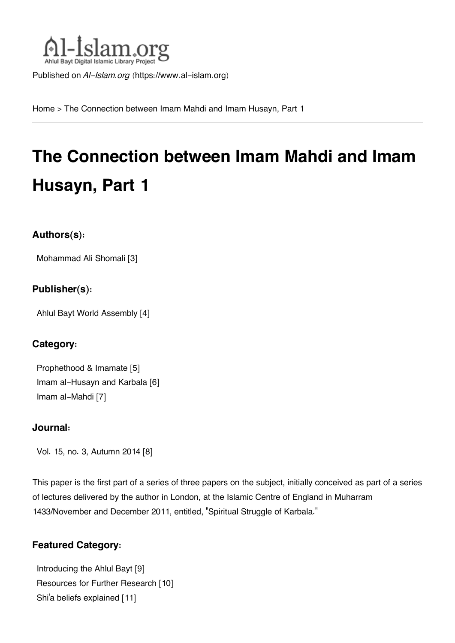

Published on *Al-Islam.org* ([https://www.al-islam.org\)](https://www.al-islam.org)

[Home](https://www.al-islam.org/) > The Connection between Imam Mahdi and Imam Husayn, Part 1

# **The Connection between Imam Mahdi and Imam Husayn, Part 1**

## **Authors(s):**

[Mohammad Ali Shomali](https://www.al-islam.org/person/mohammad-ali-shomali) [3]

## **Publisher(s):**

[Ahlul Bayt World Assembly](https://www.al-islam.org/organization/ahlul-bayt-world-assembly) [4]

## **Category:**

[Prophethood & Imamate](https://www.al-islam.org/library/prophethood-imamate) [5] [Imam al-Husayn and Karbala](https://www.al-islam.org/library/imam-al-husayn-and-karbala) [6] [Imam al-Mahdi](https://www.al-islam.org/library/imam-al-mahdi) [7]

## **Journal:**

[Vol. 15, no. 3, Autumn 2014](https://www.al-islam.org/journals/vol-15-no-3-autumn-2014) [8]

This paper is the first part of a series of three papers on the subject, initially conceived as part of a series of lectures delivered by the author in London, at the Islamic Centre of England in Muharram 1433/November and December 2011, entitled, "Spiritual Struggle of Karbala."

## **Featured Category:**

[Introducing the Ahlul Bayt](https://www.al-islam.org/feature/introducing-ahlul-bayt) [9] [Resources for Further Research](https://www.al-islam.org/feature/resources-further-research) [10] Shi['a beliefs explained](https://www.al-islam.org/feature/shia-beliefs-explained) [11]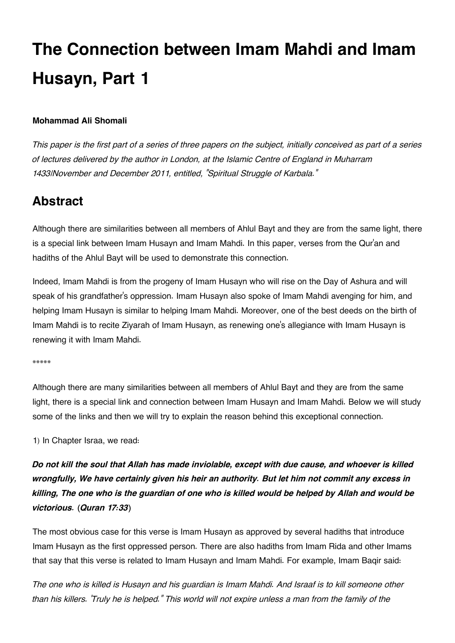# **The Connection between Imam Mahdi and Imam Husayn, Part 1**

### **Mohammad Ali Shomali**

*This paper is the first part of a series of three papers on the subject, initially conceived as part of a series of lectures delivered by the author in London, at the Islamic Centre of England in Muharram 1433/November and December 2011, entitled, "Spiritual Struggle of Karbala."*

# <span id="page-1-0"></span>**[Abstract](#page-1-0)**

Although there are similarities between all members of Ahlul Bayt and they are from the same light, there is a special link between Imam Husayn and Imam Mahdi. In this paper, verses from the Qur'an and hadiths of the Ahlul Bayt will be used to demonstrate this connection.

Indeed, Imam Mahdi is from the progeny of Imam Husayn who will rise on the Day of Ashura and will speak of his grandfather's oppression. Imam Husayn also spoke of Imam Mahdi avenging for him, and helping Imam Husayn is similar to helping Imam Mahdi. Moreover, one of the best deeds on the birth of Imam Mahdi is to recite Ziyarah of Imam Husayn, as renewing one's allegiance with Imam Husayn is renewing it with Imam Mahdi.

\*\*\*\*\*

Although there are many similarities between all members of Ahlul Bayt and they are from the same light, there is a special link and connection between Imam Husayn and Imam Mahdi. Below we will study some of the links and then we will try to explain the reason behind this exceptional connection.

1) In Chapter Israa, we read:

*Do not kill the soul that Allah has made inviolable, except with due cause, and whoever is killed wrongfully, We have certainly given his heir an authority. But let him not commit any excess in killing, The one who is the guardian of one who is killed would be helped by Allah and would be victorious. (Quran 17:33)*

The most obvious case for this verse is Imam Husayn as approved by several hadiths that introduce Imam Husayn as the first oppressed person. There are also hadiths from Imam Rida and other Imams that say that this verse is related to Imam Husayn and Imam Mahdi. For example, Imam Baqir said:

*The one who is killed is Husayn and his guardian is Imam Mahdi. And Israaf is to kill someone other than his killers. 'Truly he is helped." This world will not expire unless a man from the family of the*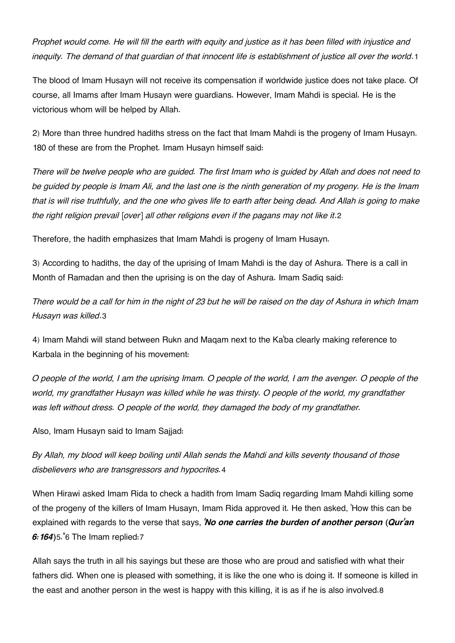<span id="page-2-0"></span>*Prophet would come. He will fill the earth with equity and justice as it has been filled with injustice and inequity. The demand of that guardian of that innocent life is establishment of justice all over the world*.[1](#page-5-0)

The blood of Imam Husayn will not receive its compensation if worldwide justice does not take place. Of course, all Imams after Imam Husayn were guardians. However, Imam Mahdi is special. He is the victorious whom will be helped by Allah.

2) More than three hundred hadiths stress on the fact that Imam Mahdi is the progeny of Imam Husayn. 180 of these are from the Prophet. Imam Husayn himself said:

*There will be twelve people who are guided. The first Imam who is guided by Allah and does not need to be guided by people is Imam Ali, and the last one is the ninth generation of my progeny. He is the Imam that is will rise truthfully, and the one who gives life to earth after being dead. And Allah is going to make the right religion prevail [over] all other religions even if the pagans may not like it*.[2](#page-5-1)

<span id="page-2-1"></span>Therefore, the hadith emphasizes that Imam Mahdi is progeny of Imam Husayn.

3) According to hadiths, the day of the uprising of Imam Mahdi is the day of Ashura. There is a call in Month of Ramadan and then the uprising is on the day of Ashura. Imam Sadiq said:

<span id="page-2-2"></span>*There would be a call for him in the night of 23 but he will be raised on the day of Ashura in which Imam Husayn was killed*.[3](#page-5-2)

4) Imam Mahdi will stand between Rukn and Maqam next to the Ka'ba clearly making reference to Karbala in the beginning of his movement:

*O people of the world, I am the uprising Imam. O people of the world, I am the avenger. O people of the world, my grandfather Husayn was killed while he was thirsty. O people of the world, my grandfather was left without dress. O people of the world, they damaged the body of my grandfather.*

Also, Imam Husayn said to Imam Sajjad:

<span id="page-2-3"></span>*By Allah, my blood will keep boiling until Allah sends the Mahdi and kills seventy thousand of those disbelievers who are transgressors and hypocrites.*[4](#page-5-3)

When Hirawi asked Imam Rida to check a hadith from Imam Sadiq regarding Imam Mahdi killing some of the progeny of the killers of Imam Husayn, Imam Rida approved it. He then asked, 'How this can be explained with regards to the verse that says, *'No one carries the burden of another person (Qur'an 6:164)*[5](#page-5-4)."[6](#page-5-5) The Imam replied:[7](#page-5-6)

<span id="page-2-5"></span><span id="page-2-4"></span>Allah says the truth in all his sayings but these are those who are proud and satisfied with what their fathers did. When one is pleased with something, it is like the one who is doing it. If someone is killed in the east and another person in the west is happy with this killing, it is as if he is also involved.[8](#page-5-7)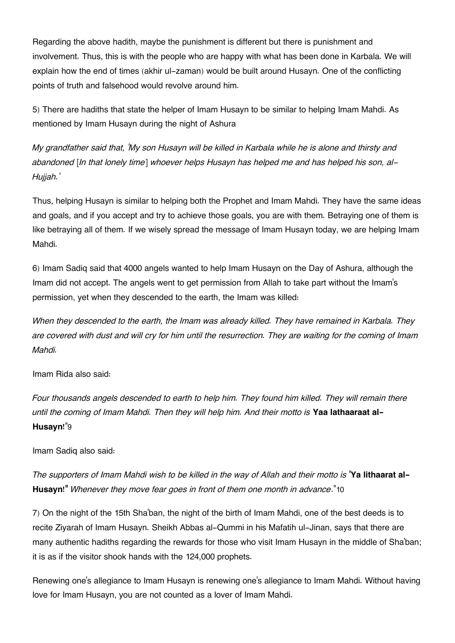Regarding the above hadith, maybe the punishment is different but there is punishment and involvement. Thus, this is with the people who are happy with what has been done in Karbala. We will explain how the end of times (akhir ul-zaman) would be built around Husayn. One of the conflicting points of truth and falsehood would revolve around him.

5) There are hadiths that state the helper of Imam Husayn to be similar to helping Imam Mahdi. As mentioned by Imam Husayn during the night of Ashura

*My grandfather said that, 'My son Husayn will be killed in Karbala while he is alone and thirsty and abandoned [In that lonely time] whoever helps Husayn has helped me and has helped his son, al-Hujjah.'*

Thus, helping Husayn is similar to helping both the Prophet and Imam Mahdi. They have the same ideas and goals, and if you accept and try to achieve those goals, you are with them. Betraying one of them is like betraying all of them. If we wisely spread the message of Imam Husayn today, we are helping Imam Mahdi.

6) Imam Sadiq said that 4000 angels wanted to help Imam Husayn on the Day of Ashura, although the Imam did not accept. The angels went to get permission from Allah to take part without the Imam's permission, yet when they descended to the earth, the Imam was killed:

*When they descended to the earth, the Imam was already killed. They have remained in Karbala. They are covered with dust and will cry for him until the resurrection. They are waiting for the coming of Imam Mahdi.*

Imam Rida also said:

<span id="page-3-0"></span>*Four thousands angels descended to earth to help him. They found him killed. They will remain there until the coming of Imam Mahdi. Then they will help him. And their motto is* **Yaa lathaaraat al-Husayn!**"[9](#page-5-8)

Imam Sadiq also said:

<span id="page-3-1"></span>*The supporters of Imam Mahdi wish to be killed in the way of Allah and their motto is* **'Ya lithaarat al-Husayn!"** *Whenever they move fear goes in front of them one month in advance*."[10](#page-5-9)

7) On the night of the 15th Sha'ban, the night of the birth of Imam Mahdi, one of the best deeds is to recite Ziyarah of Imam Husayn. Sheikh Abbas al-Qummi in his Mafatih ul-Jinan, says that there are many authentic hadiths regarding the rewards for those who visit Imam Husayn in the middle of Sha'ban; it is as if the visitor shook hands with the 124,000 prophets.

Renewing one's allegiance to Imam Husayn is renewing one's allegiance to Imam Mahdi. Without having love for Imam Husayn, you are not counted as a lover of Imam Mahdi.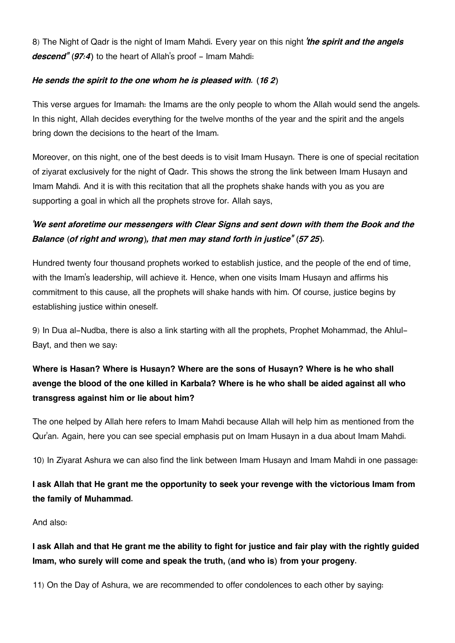8) The Night of Qadr is the night of Imam Mahdi. Every year on this night *'the spirit and the angels* descend<sup>"</sup> (97:4) to the heart of Allah's proof - Imam Mahdi:

### *He sends the spirit to the one whom he is pleased with. (16 2)*

This verse argues for Imamah: the Imams are the only people to whom the Allah would send the angels. In this night, Allah decides everything for the twelve months of the year and the spirit and the angels bring down the decisions to the heart of the Imam.

Moreover, on this night, one of the best deeds is to visit Imam Husayn. There is one of special recitation of ziyarat exclusively for the night of Qadr. This shows the strong the link between Imam Husayn and Imam Mahdi. And it is with this recitation that all the prophets shake hands with you as you are supporting a goal in which all the prophets strove for. Allah says,

# *'We sent aforetime our messengers with Clear Signs and sent down with them the Book and the Balance (of right and wrong), that men may stand forth in justice" (57 25).*

Hundred twenty four thousand prophets worked to establish justice, and the people of the end of time, with the Imam's leadership, will achieve it. Hence, when one visits Imam Husayn and affirms his commitment to this cause, all the prophets will shake hands with him. Of course, justice begins by establishing justice within oneself.

9) In Dua al-Nudba, there is also a link starting with all the prophets, Prophet Mohammad, the Ahlul-Bayt, and then we say:

# **Where is Hasan? Where is Husayn? Where are the sons of Husayn? Where is he who shall avenge the blood of the one killed in Karbala? Where is he who shall be aided against all who transgress against him or lie about him?**

The one helped by Allah here refers to Imam Mahdi because Allah will help him as mentioned from the Qur'an. Again, here you can see special emphasis put on Imam Husayn in a dua about Imam Mahdi.

10) In Ziyarat Ashura we can also find the link between Imam Husayn and Imam Mahdi in one passage:

# **I ask Allah that He grant me the opportunity to seek your revenge with the victorious Imam from the family of Muhammad.**

And also:

**I ask Allah and that He grant me the ability to fight for justice and fair play with the rightly guided Imam, who surely will come and speak the truth, (and who is) from your progeny.**

11) On the Day of Ashura, we are recommended to offer condolences to each other by saying: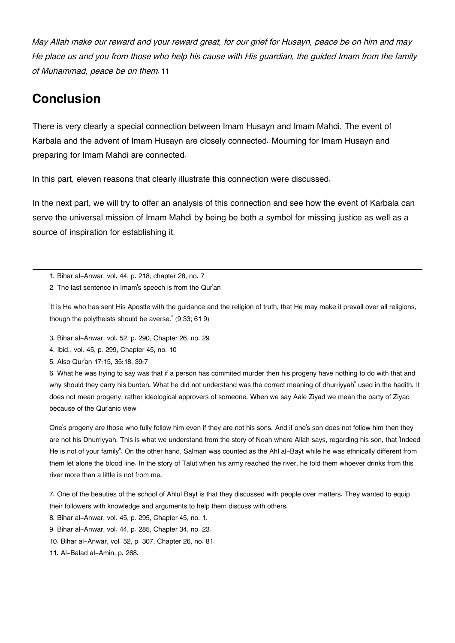<span id="page-5-12"></span>*May Allah make our reward and your reward great, for our grief for Husayn, peace be on him and may He place us and you from those who help his cause with His guardian, the guided Imam from the family of Muhammad, peace be on them.*[11](#page-5-10)

# <span id="page-5-11"></span>**[Conclusion](#page-5-11)**

There is very clearly a special connection between Imam Husayn and Imam Mahdi. The event of Karbala and the advent of Imam Husayn are closely connected. Mourning for Imam Husayn and preparing for Imam Mahdi are connected.

In this part, eleven reasons that clearly illustrate this connection were discussed.

In the next part, we will try to offer an analysis of this connection and see how the event of Karbala can serve the universal mission of Imam Mahdi by being be both a symbol for missing justice as well as a source of inspiration for establishing it.

<span id="page-5-1"></span><span id="page-5-0"></span>[1.](#page-2-0) Bihar al-Anwar, vol. 44, p. 218, chapter 28, no. 7

[2.](#page-2-1) The last sentence in Imam's speech is from the Qur'an

'It is He who has sent His Apostle with the guidance and the religion of truth, that He may make it prevail over all religions, though the polytheists should be averse." (9 33; 61 9)

<span id="page-5-2"></span>[3.](#page-2-2) Bihar al-Anwar, vol. 52, p. 290, Chapter 26, no. 29

<span id="page-5-3"></span>[4.](#page-2-3) Ibid., vol. 45, p. 299, Chapter 45, no. 10

<span id="page-5-4"></span>[5.](#page-2-4) Also Qur'an 17:15, 35:18, 39:7

<span id="page-5-5"></span>[6.](#page-2-4) What he was trying to say was that if a person has commited murder then his progeny have nothing to do with that and why should they carry his burden. What he did not understand was the correct meaning of dhurriyyah" used in the hadith. It does not mean progeny, rather ideological approvers of someone. When we say Aale Ziyad we mean the party of Ziyad because of the Qur'anic view.

One's progeny are those who fully follow him even if they are not his sons. And if one's son does not follow him then they are not his Dhurriyyah. This is what we understand from the story of Noah where Allah says, regarding his son, that 'Indeed He is not of your family". On the other hand, Salman was counted as the Ahl al-Bayt while he was ethnically different from them let alone the blood line. In the story of Talut when his army reached the river, he told them whoever drinks from this river more than a little is not from me.

<span id="page-5-6"></span>[7.](#page-2-4) One of the beauties of the school of Ahlul Bayt is that they discussed with people over matters. They wanted to equip their followers with knowledge and arguments to help them discuss with others.

<span id="page-5-7"></span>[8.](#page-2-5) Bihar al-Anwar, vol. 45, p. 295, Chapter 45, no. 1.

<span id="page-5-9"></span><span id="page-5-8"></span>[9.](#page-3-0) Bihar al-Anwar, vol. 44, p. 285, Chapter 34, no. 23.

[10.](#page-3-1) Bihar al-Anwar, vol. 52, p. 307, Chapter 26, no. 81.

<span id="page-5-10"></span>[11.](#page-5-12) Al-Balad al-Amin, p. 268.